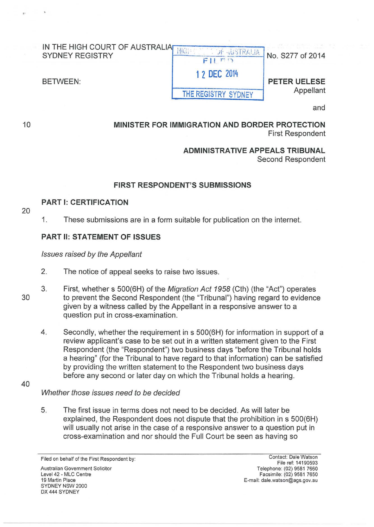| IN THE HIGH COURT OF AUSTRALIAP<br><b>SYDNEY REGISTRY</b> | $\mathcal{L}$ , $\mathcal{L}$ | No. S277 of 2014    |
|-----------------------------------------------------------|-------------------------------|---------------------|
| BETWEEN:                                                  | 1 2 DEC 2014                  | <b>PETER UELESE</b> |
|                                                           | THE REGISTRY SYDNEY           | Appellant           |
|                                                           |                               |                     |

and

MINISTER FOR IMMIGRATION AND BORDER PROTECTION First Respondent

#### ADMINISTRATIVE APPEALS TRIBUNAL Second Respondent

#### FIRST RESPONDENT'S SUBMISSIONS

#### PART 1: CERTIFICATION

20

10

1. These submissions are in a form suitable for publication on the internet.

#### PART II: STATEMENT OF ISSUES

Issues raised by the Appellant

- 2. The notice of appeal seeks to raise two issues.
- 3. First, whether s 500(6H) of the Migration Act 1958 (Cth) (the "Act") operates to prevent the Second Respondent (the "Tribunal") having regard to evidence given by a witness called by the Appellant in a responsive answer to a question put in cross-examination.
	- 4. Secondly, whether the requirement in s 500(6H) for information in support of a review applicant's case to be set out in a written statement given to the First Respondent (the "Respondent") two business days "before the Tribunal holds a hearing" (for the Tribunal to have regard to that information) can be satisfied by providing the written statement to the Respondent two business days before any second or later day on which the Tribunal holds a hearing.
- 40

30

#### Whether those issues need to be decided

5. The first issue in terms does not need to be decided. As will later be explained, the Respondent does not dispute that the prohibition in s 500(6H) will usually not arise in the case of a responsive answer to a question put in cross-examination and nor should the Full Court be seen as having so

Australian Government Solicitor Level 42 - MLC Centre 19 Martin Place SYDNEY NSW 2000 OX 444 SYDNEY

Contact: Dale Watson File ref: 14190593 Telephone: (02) 9581 7660 Facsimile: (02) 958 1 7650 E-mail: dale.watson@ags.gov.au

Filed on behalf of the First Respondent by: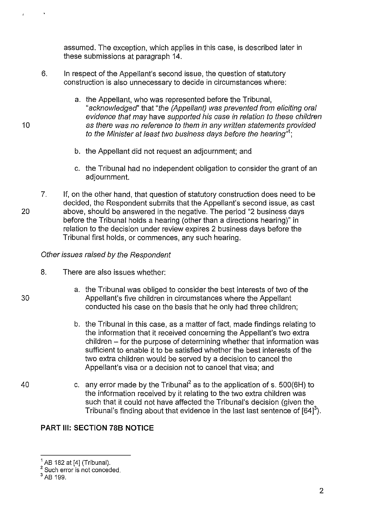assumed. The exception, which applies in this case, is described later in these submissions at paragraph 14.

- 6. In respect of the Appellant's second issue, the question of statutory construction is also unnecessary to decide in circumstances where:
	- a. the Appellant, who was represented before the Tribunal, "acknowledged' that "the (Appellant) was prevented from eliciting oral evidence that may have supported his case in relation to these children as there was no reference to them in any written statements provided to the Minister at least two business days before the hearing"*<sup>1</sup> ;*
	- b. the Appellant did not request an adjournment; and
	- c. the Tribunal had no independent obligation to consider the grant of an adjournment.
- 20 7. If, on the other hand, that question of statutory construction does need to be decided, the Respondent submits that the Appellant's second issue, as cast above, should be answered in the negative. The period "2 business days before the Tribunal holds a hearing (other than a directions hearing)" in relation to the decision under review expires 2 business days before the Tribunal first holds, or commences, any such hearing.

### Other issues raised by the Respondent

- 8. There are also issues whether:
	- a. the Tribunal was obliged to consider the best interests of two of the Appellant's five children in circumstances where the Appellant conducted his case on the basis that he only had three children;
	- b. the Tribunal in this case, as a matter of fact, made findings relating to the information that it received concerning the Appellant's two extra children – for the purpose of determining whether that information was sufficient to enable it to be satisfied whether the best interests of the two extra children would be served by a decision to cancel the Appellant's visa or a decision not to cancel that visa; and
	- c. any error made by the Tribunal<sup>2</sup> as to the application of s. 500(6H) to the information received by it relating to the two extra children was such that it could not have affected the Tribunal's decision (given the Tribunal's finding about that evidence in the last last sentence of  $[64]^{3}$ ).

## **PART Ill: SECTION 788 NOTICE**

30

 $1$  AB 182 at [4] (Tribunal).<br> $2$  Such error is not conceded.

<sup>3</sup>AB 199.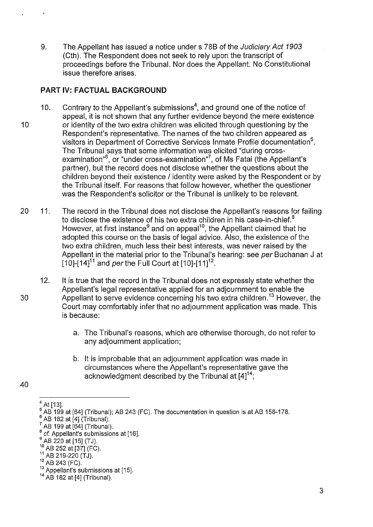9. The Appellant has issued a notice under s 78B of the Judiciary Act 1903 (Cth). The Respondent does not seek to rely upon the transcript of proceedings before the Tribunal. Nor does the Appellant. No Constitutional issue therefore arises.

## **PART** IV: **FACTUAL BACKGROUND**

- 10. Contrary to the Appellant's submissions<sup>4</sup>, and ground one of the notice of appeal, it is not shown that any further evidence beyond the mere existence 10 or identity of the two extra children was elicited through questioning by the Respondent's representative. The names of the two children appeared as visitors in Department of Corrective Services Inmate Profile documentation<sup>5</sup>. The Tribunal says that some information was elicited "during crossexamination<sup>"6</sup>, or "under cross-examination"<sup>7</sup>, of Ms Fatai (the Appellant's partner), but the record does not disclose whether the questions about the children beyond their existence / identity were asked by the Respondent or by the Tribunal itself. For reasons that follow however, whether the questioner was the Respondent's solicitor or the Tribunal is unlikely to be relevant.
- 20 11. The record in the Tribunal does not disclose the Appellant's reasons for failing to disclose the existence of his two extra children in his case-in-chief. $8$ However, at first instance<sup>9</sup> and on appeal<sup>10</sup>, the Appellant claimed that he adopted this course on the basis of legal advice. Also, the existence of the two extra children, much less their best interests, was never raised by the Appellant in the material prior to the Tribunal's hearing: see per Buchanan J at [10]-[14]<sup>11</sup> and per the Full Court at [10]-[11]<sup>12</sup>.
- 12. It is true that the record in the Tribunal does not expressly state whether the Appellant's legal representative applied for an adjournment to enable the 30 Appellant to serve evidence concerning his two extra children.13 However, the Court may comfortably infer that no adjournment application was made. This is because:
	- a. The Tribunal's reasons, which are otherwise thorough, do not refer to any adjournment application;
	- b. It is improbable that an adjournment application was made in circumstances where the Appellant's representative gave the acknowledgment described by the Tribunal at  $[4]^{14}$ ;
- 40

 $^4$  At [13].<br> $^5$  AB 199 at [64] (Tribunal); AB 243 (FC). The documentation in question is at AB 158-178.

AB 182 at [4] (Tribunal).<br>AB 199 at [64] (Tribunal).

<sup>&</sup>lt;sup>8</sup> *cf*. Appellant's submissions at [16].<br><sup>9</sup> AB 220 at [15] (TJ).<br><sup>10</sup> AB 252 at [37] (FC).<br><sup>11</sup> AB 219-220 (TJ).

<sup>&</sup>lt;sup>12</sup> AB 243 (FC).

<sup>&</sup>lt;sup>13</sup> Appellant's submissions at [15].

<sup>14</sup>AB 182 at [4] (Tribunal).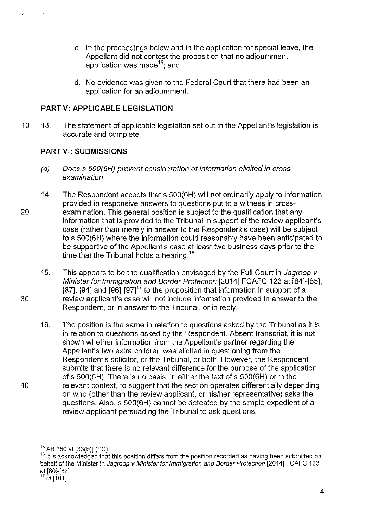- c. In the proceedings below and in the application for special leave, the Appellant did not contest the proposition that no adjournment application was made<sup>15</sup>; and
- d. No evidence was given to the Federal Court that there had been an application for an adjournment.

# **PART V: APPLICABLE LEGISLATION**

10 13. The statement of applicable legislation set out in the Appellant's legislation is accurate and complete.

## **PART** VI: **SUBMISSIONS**

- (a) Does s 500(6H) prevent consideration ofinformation elicited in crossexamination
- 14. The Respondent accepts that s 500(6H) will not ordinarily apply to information provided in responsive answers to questions put to a witness in cross-20 examination. This general position is subject to the qualification that any information that is provided to the Tribunal in support of the review applicant's case (rather than merely in answer to the Respondent's case) will be subject to s 500(6H) where the information could reasonably have been anticipated to be supportive of the Appellant's case at least two business days prior to the time that the Tribunal holds a hearing.<sup>16</sup>
- 15. This appears to be the qualification envisaged by the Full Court in Jagroop v Minister for Immigration and Border Protection [2014] FCAFC 123 at [84]-[85], [87], [94] and  $[96]$ - $[97]$ <sup>17</sup> to the proposition that information in support of a 30 review applicant's case will not include information provided in answer to the Respondent, or in answer to the Tribunal, or in reply.
- 16. The position is the same in relation to questions asked by the Tribunal as it is in relation to questions asked by the Respondent. Absent transcript, it is not shown whether information from the Appellant's partner regarding the Appellant's two extra children was elicited in questioning from the Respondent's solicitor, or the Tribunal, or both. However, the Respondent submits that there is no relevant difference for the purpose of the application of s 500(6H). There is no basis, in either the text of s 500(6H) or in the 40 relevant context, to suggest that the section operates differentially depending on who (other than the review applicant, or his/her representative) asks the questions. Also, s 500(6H) cannot be defeated by the simple expedient of a review applicant persuading the Tribunal to ask questions.

<sup>&</sup>lt;sup>15</sup> AB 250 at [33(b)] (FC).

<sup>&</sup>lt;sup>16</sup> It is acknowledged that this position differs from the position recorded as having been submitted on behalf of the Minister in Jagroop v Minister for Immigration and Border Protection [2014] FCAFC 123 at [80]-[82].<br><sup>17</sup> cf [101].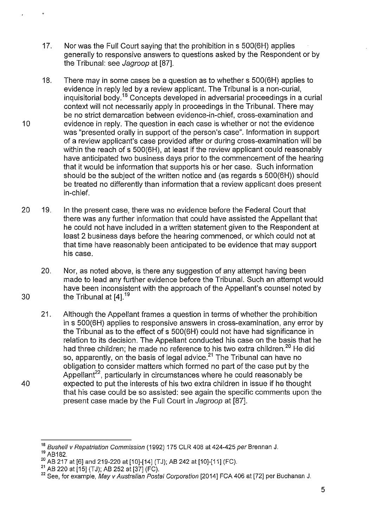- 17. Nor was the Full Court saying that the prohibition in s 500(6H) applies generally to responsive answers to questions asked by the Respondent or by the Tribunal: see Jagroop at [87].
- 18. There may in some cases be a question as to whether s 500(6H) applies to evidence in reply led by a review applicant. The Tribunal is a non-curial, inquisitorial body.<sup>18</sup> Concepts developed in adversarial proceedings in a curial context will not necessarily apply in proceedings in the Tribunal. There may be no strict demarcation between evidence-in-chief, cross-examination and 10 evidence in reply. The question in each case is whether or not the evidence was "presented orally in support of the person's case". Information in support of a review applicant's case provided after or during cross-examination will be within the reach of s 500(6H), at least if the review applicant could reasonably have anticipated two business days prior to the commencement of the hearing that it would be information that supports his or her case. Such information should be the subject of the written notice and (as regards s 500(6H)) should be treated no differently than information that a review applicant does present in-chief.
- 20 19. In the present case, there was no evidence before the Federal Court that there was any further information that could have assisted the Appellant that he could not have included in a written statement given to the Respondent at least 2 business days before the hearing commenced, or which could not at that time have reasonably been anticipated to be evidence that may support his case.
- 20. Nor, as noted above, is there any suggestion of any attempt having been made to lead any further evidence before the Tribunal. Such an attempt would have been inconsistent with the approach of the Appellant's counsel noted by 30 the Tribunal at  $[4]$ <sup>19</sup>
- 21. Although the Appellant frames a question in terms of whether the prohibition in s 500(6H) applies to responsive answers in cross-examination, any error by the Tribunal as to the effect of s 500(6H) could not have had significance in relation to its decision. The Appellant conducted his case on the basis that he had three children; he made no reference to his two extra children.<sup>20</sup> He did so, apparently, on the basis of legal advice.<sup>21</sup> The Tribunal can have no obligation to consider matters which formed no part of the case put by the Appellant<sup>22</sup>, particularly in circumstances where he could reasonably be 40 expected to put the interests of his two extra children in issue if he thought that his case could be so assisted: see again the specific comments upon the present case made by the Full Court in Jagroop at [87].

<sup>&</sup>lt;sup>18</sup> Bushell v Repatriation Commission (1992) 175 CLR 408 at 424-425 per Brennan J.

<sup>&</sup>lt;sup>19</sup> AB182.<br><sup>20</sup> AB 217 at [6] and 219-220 at [10]-[14] (TJ); AB 242 at [10]-[11] (FC).

<sup>&</sup>lt;sup>21</sup> AB 220 at [15] (TJ); AB 252 at [37] (FC).  $\frac{1}{2}$ <br><sup>22</sup> See, for example, *May v Australian Postal Corporation* [2014] FCA 406 at [72] per Buchanan J.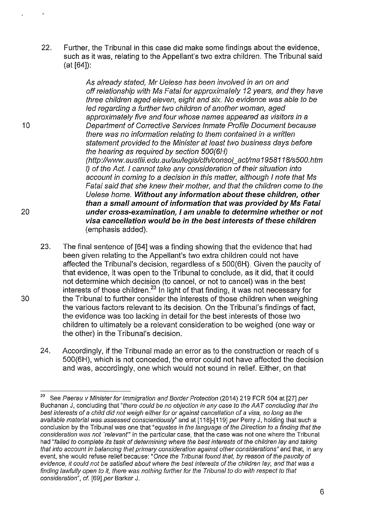22. Further, the Tribunal in this case did make some findings about the evidence, such as it was, relating to the Appellant's two extra children. The Tribunal said (at [64]):

As already stated, Mr Uelese has been involved in an on and off relationship with Ms Fatai for approximately 12 years, and they have three children aged eleven, eight and six. No evidence was able to be led regarding a further two children of another woman, aged approximately five and four whose names appeared as visitors in a 10 Department of Corrective Services Inmate Profile Document because there was no information relating to them contained in a written statement provided to the Minister at least two business days before the hearing as required by section 500(6H) (http://www.austlii.edu.au/au/legis/cth/consol\_act/ma 1958118/s500.htm I) of the Act. I cannot take any consideration of their situation into account in coming to a decision in this matter, although I note that Ms Fatai said that she knew their mother, and that the children come to the Uelese home. **Without any information about these children, other than a small amount of information that was provided by Ms Fatai**  20 **under cross-examination, I am unable to determine whether or not visa cancellation would be in the best interests of these children**  (emphasis added).

- 23. The final sentence of [64] was a finding showing that the evidence that had been given relating to the Appellant's two extra children could not have affected the Tribunal's decision, regardless of s 500(6H). Given the paucity of that evidence, it was open to the Tribunal to conclude, as it did, that it could not determine which decision (to cancel, or not to cancel) was in the best interests of those children.<sup>23</sup> In light of that finding, it was not necessary for 30 the Tribunal to further consider the interests of those children when weighing the various factors relevant to its decision. On the Tribunal's findings of fact, the evidence was too lacking in detail for the best interests of those two children to ultimately be a relevant consideration to be weighed (one way or the other) in the Tribunal's decision.
	- 24. Accordingly, if the Tribunal made an error as to the construction or reach of s 500(6H), which is not conceded, the error could not have affected the decision and was, accordingly, one which would not sound in relief. Either, on that

*<sup>23</sup>*See Paerau v Minister for Immigration and Border Protection (2014) 219 FCR 504 at [27] per Buchanan J, concluding that "there could be no objection in any case to the AAT concluding that the best interests of a child did not weigh either for or against cancellation of a visa, so long as the available material was assessed conscientiously" and at [118]-[119] per Perry J, holding that such a conclusion by the Tribunal was one that "equates in the language of the Direction to a finding that the consideration was not 'relevant" in the particular case, that the case was not one where the Tribunal had "failed to complete its task of determining where the best interests of the children lay and taking that into account in balancing that primary consideration against other considerations" and that, in any event, she would refuse relief because: "Once the Tribunal found that, by reason of the paucity of evidence, it could not be satisfied about where the best interests of the children lay, and that was a finding lawfully open to it, there was nothing further for the Tribunal to do with respect to that consideration", cf. [69] per Barker J.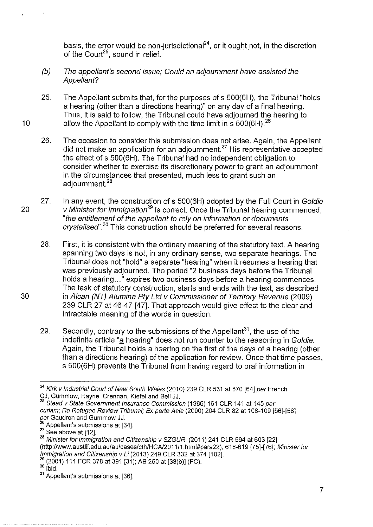basis, the error would be non-jurisdictional<sup>24</sup>, or it ought not, in the discretion of the Court<sup>25</sup>, sound in relief.

- (b) The appellant's second issue; Could an adjournment have assisted the Appellant?
- 25. The Appellant submits that, for the purposes of s 500(6H), the Tribunal "holds a hearing (other than a directions hearing)" on any day of a final hearing. Thus, it is said to follow, the Tribunal could have adjourned the hearing to 10 allow the Appellant to comply with the time limit in  $\frac{1}{5}$  500(6H).<sup>26</sup>
	- 26. The occasion to consider this submission does not arise. Again, the Appellant did not make an application for an adjournment.<sup>27</sup> His representative accepted the effect of s 500(6H). The Tribunal had no independent obligation to consider whether to exercise its discretionary power to grant an adjournment in the circumstances that presented, much less to grant such an adjournment.<sup>28</sup>
- 27. In any event, the construction of s 500(6H) adopted by the Full Court in Goldie 20 V Minister for Immigration<sup>29</sup> is correct. Once the Tribunal hearing commenced, "the entitlement of the appellant to rely on information or documents  $crystalised<sup>n,30</sup>$  This construction should be preferred for several reasons.

28. First, it is consistent with the ordinary meaning of the statutory text. A hearing spanning two days is not, in any ordinary sense, two separate hearings. The Tribunal does not "hold" a separate "hearing" when it resumes a hearing that was previously adjourned. The period "2 business days before the Tribunal holds a hearing..." expires two business days before a hearing commences. The task of statutory construction, starts and ends with the text, as described 30 in A/can (NT) Alumina Pty Ltd v Commissioner of Territory Revenue (2009) 239 CLR 27 at 46-47 [47]. That approach would give effect to the clear and intractable meaning of the words in question.

29. Secondly, contrary to the submissions of the Appellant<sup>31</sup>, the use of the indefinite article "a hearing" does not run counter to the reasoning in Goldie. Again, the Tribunal holds a hearing on the first of the days of a hearing (other than a directions hearing) of the application for review. Once that time passes, s 500(6H) prevents the Tribunal from having regard to oral information in

<sup>&</sup>lt;sup>24</sup> Kirk v Industrial Court of New South Wales (2010) 239 CLR 531 at 570 [64] per French CJ, Gummow, Hayne, Grennan, Kiefel and Bell JJ.

Stead v State Government Insurance Commission (1986) 161 CLR 141 at 145 per curiam; Re Refugee Review Tribunal; Ex parte Aala (2000) 204 CLR 82 at 108-109 [56]-[58] *per* Gaudron and Gummow JJ.<br><sup>26</sup> Appellant's submissions at [34].

 $\frac{27}{27}$  See above at [12].<br><sup>27</sup> See above at [12].<br><sup>28</sup> Minister for Immigration and Citizenship v SZGUR (2011) 241 CLR 594 at 603 [22] (http://www.austlii.edu.au/au/cases/cth/HCN2011/1.html#para22), 618-619 [75]-[76]; Minister for *Immigration and Citizenship v Li* (2013) 249 CLR 332 at 374 [102].<br><sup>29</sup> (2001) 111 FCR 378 at 391 [31]; AB 250 at [33(b)] (FC).<br><sup>30</sup> Ibid.

 $31$  Appellant's submissions at [36].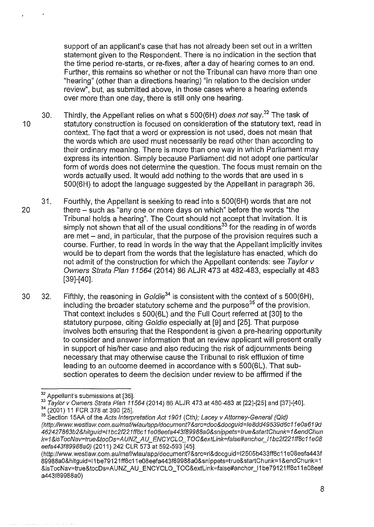support of an applicant's case that has not already been set out in a written statement given to the Respondent. There is no indication in the section that the time period re-starts, or re-fixes, after a day of hearing comes to an end. Further, this remains so whether or not the Tribunal can have more than one "hearing" (other than a directions hearing) "in relation to the decision under review", but, as submitted above, in those cases where a hearing extends over more than one day, there is still only one hearing.

30. Thirdly, the Appellant relies on what s 500(6H) does not say.<sup>32</sup> The task of 10 statutory construction is focused on consideration of the statutory text, read in context. The fact that a word or expression is not used, does not mean that the words which are used must necessarily be read other than according to their ordinary meaning. There is more than one way in which Parliament may express its intention. Simply because Parliament did not adopt one particular form of words does not determine the question. The focus must remain on the words actually used. It would add nothing to the words that are used in s 500(6H) to adopt the language suggested by the Appellant in paragraph 36.

- 31. Fourthly, the Appellant is seeking to read into s 500(6H) words that are not 20 there- such as "any one or more days on which" before the words "the Tribunal holds a hearing". The Court should not accept that invitation. It is simply not shown that all of the usual conditions<sup>33</sup> for the reading in of words are met - and, in particular, that the purpose of the provision requires such a course. Further, to read in words in the way that the Appellant implicitly invites would be to depart from the words that the legislature has enacted, which do not admit of the construction for which the Appellant contends: see Taylor v Owners Strata Plan 11564 (2014) 86 ALJR 473 at 482-483, especially at 483 [39]-[40].
- 30 32. Fifthly, the reasoning in Goldie<sup>34</sup> is consistent with the context of s 500(6H), including the broader statutory scheme and the purpose<sup>35</sup> of the provision. That context includes s 500(6L) and the Full Court referred at [30] to the statutory purpose, citing Goldie especially at [9] and [25]. That purpose involves both ensuring that the Respondent is given a pre-hearing opportunity to consider and answer information that an review applicant will present orally in support of his/her case and also reducing the risk of adjournments being necessary that may otherwise cause the Tribunal to risk effluxion of time leading to an outcome deemed in accordance with s 500(6L). That subsection operates to deem the decision under review to be affirmed if the

<sup>&</sup>lt;sup>32</sup> Appellant's submissions at [36].<br><sup>33</sup> Taylor v Owners Strata Plan 11564 (2014) 86 ALJR 473 at 480-483 at [22]-[25] and [37]-[40].<br><sup>34</sup> (2001) 11 FCR 378 at 390 [25].

<sup>35</sup> Section 15AA of the Acts Interpretation Act 1901 (Cth); Lacey v Attorney-General (QId) (http://www. westlaw. com. aulmaflwlau/appldocument? &src=doc&docguid=le8dd49539d6c11 eO a 619d 462427863b 2 &hitguid=l1 bc2f221 ffBc 11 e08eefa443f89 988a O&snippets=true &startChunk= 1 &endChun k=1 &is TocNav=true&tocDs=AUNZ\_AU \_ENCYCLO \_ TOC&extLink=false#anchor\_/1 bc2f221ff8c11 eOB eefa443f89988a0) (2011) 242 CLR 573 at 592-593 [45].

<sup>(</sup>http:/lwww. westlaw. com. au/maf/wlaulapp/docu ment? &src=rl&docgu id=l2505b433ff8c11 e08eefa443f 89988aO&hitguid=l1 be79121 ff8c11 e08eefa443f89988aO&snippets=true&startChunk=1 &endCh unk= 1 &isTocNav=true&tocDs=AUNZ\_AU \_ENCYCLO \_ TOC&extlink=false#anchor \_11 be79121 ff8c11 e08eef a443f89988a0)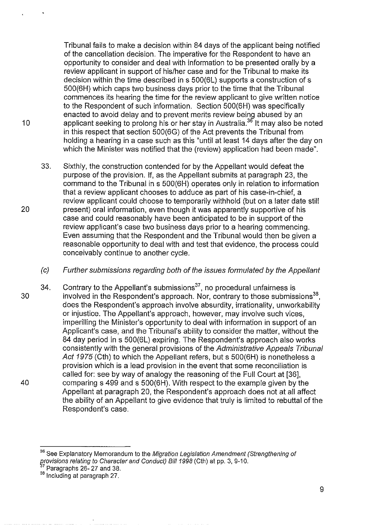Tribunal fails to make a decision within 84 days of the applicant being notified of the cancellation decision. The imperative for the Respondent to have an opportunity to consider and deal with information to be presented orally by a review applicant in support of his/her case and for the Tribunal to make its decision within the time described in s 500(6L) supports a construction of s 500(6H) which caps two business days prior to the time that the Tribunal commences its hearing the time for the review applicant to give written notice to the Respondent of such information. Section 500(6H) was specifically enacted to avoid delay and to prevent merits review being abused by an 10 applicant seeking to prolong his or her stay in Australia.<sup>36</sup> It may also be noted in this respect that section 500(6G) of the Act prevents the Tribunal from holding a hearing in a case such as this "until at least 14 days after the day on which the Minister was notified that the (review) application had been made".

- 33. Sixthly, the construction contended for by the Appellant would defeat the purpose of the provision. If, as the Appellant submits at paragraph 23, the command to the Tribunal in s 500(6H) operates only in relation to information that a review applicant chooses to adduce as part of his case-in-chief, a review applicant could choose to temporarily withhold (but on a later date still 20 present) oral information, even though it was apparently supportive of his case and could reasonably have been anticipated to be in support of the review applicant's case two business days prior to a hearing commencing. Even assuming that the Respondent and the Tribunal would then be given a reasonable opportunity to deal with and test that evidence, the process could conceivably continue to another cycle.
	- (c) Further submissions regarding both of the issues formulated by the Appellant
- 34. Contrary to the Appellant's submissions $37$ , no procedural unfairness is 30 involved in the Respondent's approach. Nor, contrary to those submissions<sup>38</sup>, does the Respondent's approach involve absurdity, irrationality, unworkability or injustice. The Appellant's approach, however, may involve such vices, imperilling the Minister's opportunity to deal with information in support of an Applicant's case, and the Tribunal's ability to consider the matter, without the 84 day period in s 500(6L) expiring. The Respondent's approach also works consistently with the general provisions of the Administrative Appeals Tribunal Act 1975 (Cth) to which the Appellant refers, but s 500(6H) is nonetheless a provision which is a lead provision in the event that some reconciliation is called for: see by way of analogy the reasoning of the Full Court at [36], 40 comparing s 499 and s 500(6H). With respect to the example given by the Appellant at paragraph 20, the Respondent's approach does not at all affect the ability of an Appellant to give evidence that truly is limited to rebuttal of the Respondent's case.

<sup>&</sup>lt;sup>36</sup> See Explanatory Memorandum to the Migration Legislation Amendment (Strengthening of grovisions relating to Character and Conduct) Bill 1998 (Cth) at pp. 3, 9-10.<br><sup>37</sup> Paragraphs 26- 27 and 38.

<sup>38</sup> Including at paragraph 27.